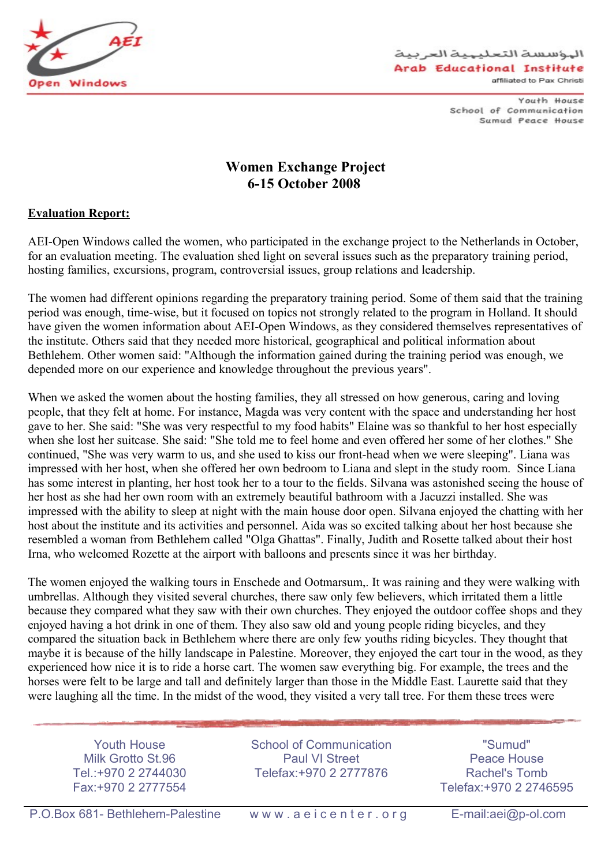

Youth House School of Communication Sumud Peace House

## **Women Exchange Project 6-15 October 2008**

## **Evaluation Report:**

AEI-Open Windows called the women, who participated in the exchange project to the Netherlands in October, for an evaluation meeting. The evaluation shed light on several issues such as the preparatory training period, hosting families, excursions, program, controversial issues, group relations and leadership.

The women had different opinions regarding the preparatory training period. Some of them said that the training period was enough, time-wise, but it focused on topics not strongly related to the program in Holland. It should have given the women information about AEI-Open Windows, as they considered themselves representatives of the institute. Others said that they needed more historical, geographical and political information about Bethlehem. Other women said: "Although the information gained during the training period was enough, we depended more on our experience and knowledge throughout the previous years".

When we asked the women about the hosting families, they all stressed on how generous, caring and loving people, that they felt at home. For instance, Magda was very content with the space and understanding her host gave to her. She said: "She was very respectful to my food habits" Elaine was so thankful to her host especially when she lost her suitcase. She said: "She told me to feel home and even offered her some of her clothes." She continued, "She was very warm to us, and she used to kiss our front-head when we were sleeping". Liana was impressed with her host, when she offered her own bedroom to Liana and slept in the study room. Since Liana has some interest in planting, her host took her to a tour to the fields. Silvana was astonished seeing the house of her host as she had her own room with an extremely beautiful bathroom with a Jacuzzi installed. She was impressed with the ability to sleep at night with the main house door open. Silvana enjoyed the chatting with her host about the institute and its activities and personnel. Aida was so excited talking about her host because she resembled a woman from Bethlehem called "Olga Ghattas". Finally, Judith and Rosette talked about their host Irna, who welcomed Rozette at the airport with balloons and presents since it was her birthday.

The women enjoyed the walking tours in Enschede and Ootmarsum,. It was raining and they were walking with umbrellas. Although they visited several churches, there saw only few believers, which irritated them a little because they compared what they saw with their own churches. They enjoyed the outdoor coffee shops and they enjoyed having a hot drink in one of them. They also saw old and young people riding bicycles, and they compared the situation back in Bethlehem where there are only few youths riding bicycles. They thought that maybe it is because of the hilly landscape in Palestine. Moreover, they enjoyed the cart tour in the wood, as they experienced how nice it is to ride a horse cart. The women saw everything big. For example, the trees and the horses were felt to be large and tall and definitely larger than those in the Middle East. Laurette said that they were laughing all the time. In the midst of the wood, they visited a very tall tree. For them these trees were

Youth House Milk Grotto St.96 Tel.:+970 2 2744030 Fax:+970 2 2777554

School of Communication Paul VI Street Telefax:+970 2 2777876

"Sumud" Peace House Rachel's Tomb Telefax:+970 2 2746595

P.O.Box 681- Bethlehem-Palestine www.aeicenter.org E-mail:aei@p-ol.com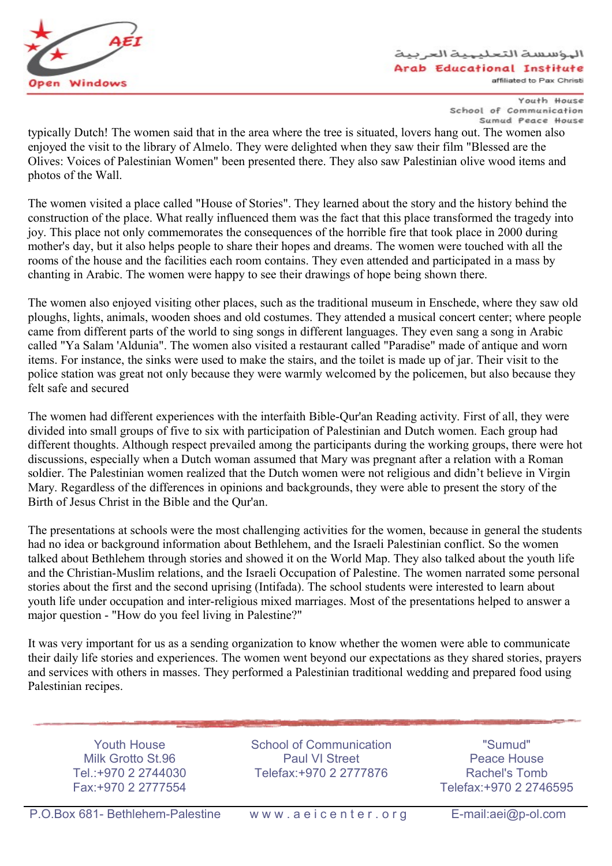

واسسة التعليهية العربية Arab Educational Institute affiliated to Pax Christi

> Youth House School of Communication Sumud Peace House

typically Dutch! The women said that in the area where the tree is situated, lovers hang out. The women also enjoyed the visit to the library of Almelo. They were delighted when they saw their film "Blessed are the Olives: Voices of Palestinian Women" been presented there. They also saw Palestinian olive wood items and photos of the Wall.

The women visited a place called "House of Stories". They learned about the story and the history behind the construction of the place. What really influenced them was the fact that this place transformed the tragedy into joy. This place not only commemorates the consequences of the horrible fire that took place in 2000 during mother's day, but it also helps people to share their hopes and dreams. The women were touched with all the rooms of the house and the facilities each room contains. They even attended and participated in a mass by chanting in Arabic. The women were happy to see their drawings of hope being shown there.

The women also enjoyed visiting other places, such as the traditional museum in Enschede, where they saw old ploughs, lights, animals, wooden shoes and old costumes. They attended a musical concert center; where people came from different parts of the world to sing songs in different languages. They even sang a song in Arabic called "Ya Salam 'Aldunia". The women also visited a restaurant called "Paradise" made of antique and worn items. For instance, the sinks were used to make the stairs, and the toilet is made up of jar. Their visit to the police station was great not only because they were warmly welcomed by the policemen, but also because they felt safe and secured

The women had different experiences with the interfaith Bible-Qur'an Reading activity. First of all, they were divided into small groups of five to six with participation of Palestinian and Dutch women. Each group had different thoughts. Although respect prevailed among the participants during the working groups, there were hot discussions, especially when a Dutch woman assumed that Mary was pregnant after a relation with a Roman soldier. The Palestinian women realized that the Dutch women were not religious and didn't believe in Virgin Mary. Regardless of the differences in opinions and backgrounds, they were able to present the story of the Birth of Jesus Christ in the Bible and the Qur'an.

The presentations at schools were the most challenging activities for the women, because in general the students had no idea or background information about Bethlehem, and the Israeli Palestinian conflict. So the women talked about Bethlehem through stories and showed it on the World Map. They also talked about the youth life and the Christian-Muslim relations, and the Israeli Occupation of Palestine. The women narrated some personal stories about the first and the second uprising (Intifada). The school students were interested to learn about youth life under occupation and inter-religious mixed marriages. Most of the presentations helped to answer a major question - "How do you feel living in Palestine?"

It was very important for us as a sending organization to know whether the women were able to communicate their daily life stories and experiences. The women went beyond our expectations as they shared stories, prayers and services with others in masses. They performed a Palestinian traditional wedding and prepared food using Palestinian recipes.

Youth House Milk Grotto St.96 Tel.:+970 2 2744030 Fax:+970 2 2777554

School of Communication Paul VI Street Telefax:+970 2 2777876

"Sumud" Peace House Rachel's Tomb Telefax:+970 2 2746595

P.O.Box 681- Bethlehem-Palestine www.aeicenter.org E-mail:aei@p-ol.com